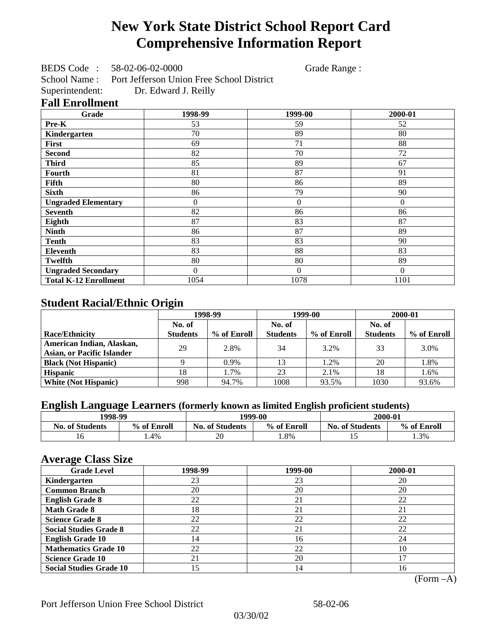# **New York State District School Report Card Comprehensive Information Report**

BEDS Code : 58-02-06-02-0000 Grade Range :

School Name : Port Jefferson Union Free School District Superintendent: Dr. Edward J. Reilly

### **Fall Enrollment**

| Grade                        | 1998-99  | 1999-00          | 2000-01      |
|------------------------------|----------|------------------|--------------|
| Pre-K                        | 53       | 59               | 52           |
| Kindergarten                 | 70       | 89               | 80           |
| First                        | 69       | 71               | 88           |
| <b>Second</b>                | 82       | 70               | 72           |
| <b>Third</b>                 | 85       | 89               | 67           |
| <b>Fourth</b>                | 81       | 87               | 91           |
| Fifth                        | 80       | 86               | 89           |
| <b>Sixth</b>                 | 86       | 79               | 90           |
| <b>Ungraded Elementary</b>   | 0        | $\boldsymbol{0}$ | $\mathbf{0}$ |
| <b>Seventh</b>               | 82       | 86               | 86           |
| Eighth                       | 87       | 83               | 87           |
| <b>Ninth</b>                 | 86       | 87               | 89           |
| <b>Tenth</b>                 | 83       | 83               | 90           |
| <b>Eleventh</b>              | 83       | 88               | 83           |
| <b>Twelfth</b>               | 80       | 80               | 89           |
| <b>Ungraded Secondary</b>    | $\Omega$ | $\Omega$         | $\theta$     |
| <b>Total K-12 Enrollment</b> | 1054     | 1078             | 1101         |

## **Student Racial/Ethnic Origin**

|                                   | 1998-99         |             | 1999-00         |             | 2000-01         |             |
|-----------------------------------|-----------------|-------------|-----------------|-------------|-----------------|-------------|
|                                   | No. of          |             |                 | No. of      |                 |             |
| <b>Race/Ethnicity</b>             | <b>Students</b> | % of Enroll | <b>Students</b> | % of Enroll | <b>Students</b> | % of Enroll |
| American Indian, Alaskan,         | 29              | 2.8%        | 34              | 3.2%        | 33              | 3.0%        |
| <b>Asian, or Pacific Islander</b> |                 |             |                 |             |                 |             |
| <b>Black (Not Hispanic)</b>       |                 | $0.9\%$     | 13              | 1.2%        | 20              | 1.8%        |
| <b>Hispanic</b>                   | 18              | 1.7%        | 23              | 2.1%        | 18              | 1.6%        |
| <b>White (Not Hispanic)</b>       | 998             | 94.7%       | 1008            | 93.5%       | 1030            | 93.6%       |

## **English Language Learners (formerly known as limited English proficient students)**

| 1998-99                |             |                        | 1999-00     | 2000-01                |             |
|------------------------|-------------|------------------------|-------------|------------------------|-------------|
| <b>No. of Students</b> | % of Enroll | <b>No. of Students</b> | % of Enroll | <b>No. of Students</b> | % of Enroll |
|                        | . .4%       | 20                     | .8%         | <b>1.</b>              | 1.3%        |

### **Average Class Size**

| <b>Grade Level</b>             | 1998-99 | 1999-00 | 2000-01 |
|--------------------------------|---------|---------|---------|
| Kindergarten                   | 23      | 23      | 20      |
| <b>Common Branch</b>           | 20      | 20      | 20      |
| <b>English Grade 8</b>         | 22      | 21      | 22      |
| <b>Math Grade 8</b>            | 18      | 21      | 21      |
| <b>Science Grade 8</b>         | 22      | 22      | 22      |
| <b>Social Studies Grade 8</b>  | 22      | 21      | 22      |
| <b>English Grade 10</b>        | 14      | 16      | 24      |
| <b>Mathematics Grade 10</b>    | 22      | 22      | 10      |
| <b>Science Grade 10</b>        | 21      | 20      |         |
| <b>Social Studies Grade 10</b> | 15      | 14      | 16      |

(Form –A)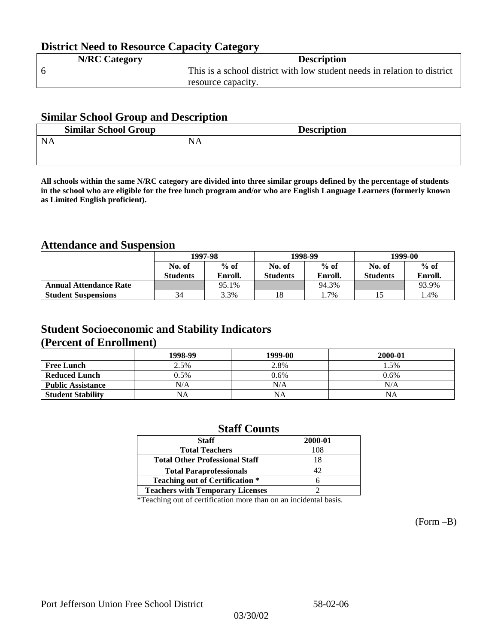## **District Need to Resource Capacity Category**

| <b>N/RC Category</b> | <b>Description</b>                                                       |
|----------------------|--------------------------------------------------------------------------|
|                      | This is a school district with low student needs in relation to district |
|                      | resource capacity.                                                       |

### **Similar School Group and Description**

| <b>Similar School Group</b> | <b>Description</b> |
|-----------------------------|--------------------|
| <b>NA</b>                   | NA                 |
|                             |                    |

**All schools within the same N/RC category are divided into three similar groups defined by the percentage of students in the school who are eligible for the free lunch program and/or who are English Language Learners (formerly known as Limited English proficient).**

## **Attendance and Suspension**

|                               | 1997-98          |         |                 | 1998-99 | 1999-00         |         |
|-------------------------------|------------------|---------|-----------------|---------|-----------------|---------|
|                               | $%$ of<br>No. of |         | No. of          | $%$ of  | No. of          | $%$ of  |
|                               | <b>Students</b>  | Enroll. | <b>Students</b> | Enroll. | <b>Students</b> | Enroll. |
| <b>Annual Attendance Rate</b> |                  | 95.1%   |                 | 94.3%   |                 | 93.9%   |
| <b>Student Suspensions</b>    | 34               | 3.3%    | 18              | 1.7%    |                 | 1.4%    |

### **Student Socioeconomic and Stability Indicators (Percent of Enrollment)**

|                          | 1998-99 | 1999-00 | 2000-01 |
|--------------------------|---------|---------|---------|
| <b>Free Lunch</b>        | 2.5%    | 2.8%    | . .5%   |
| <b>Reduced Lunch</b>     | 0.5%    | 0.6%    | 0.6%    |
| <b>Public Assistance</b> | N/A     | N/A     | N/A     |
| <b>Student Stability</b> | NA      | NA      | NA      |

### **Staff Counts**

| 2000-01 |
|---------|
| 108     |
| 18      |
| 42      |
|         |
|         |
|         |

\*Teaching out of certification more than on an incidental basis.

(Form –B)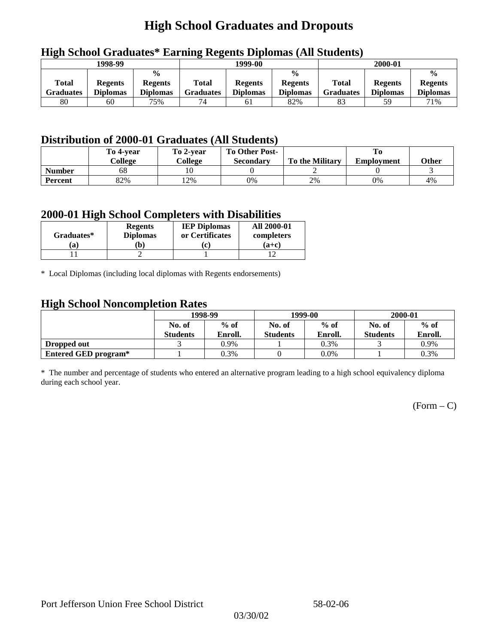# **High School Graduates and Dropouts**

| 1998-99            |                                   |                                                    | 1999-00                   |                                   |                                                    | 2000-01                          |                                   |                                                    |
|--------------------|-----------------------------------|----------------------------------------------------|---------------------------|-----------------------------------|----------------------------------------------------|----------------------------------|-----------------------------------|----------------------------------------------------|
| Total<br>Graduates | <b>Regents</b><br><b>Diplomas</b> | $\frac{0}{0}$<br><b>Regents</b><br><b>Diplomas</b> | Total<br><b>Graduates</b> | <b>Regents</b><br><b>Diplomas</b> | $\frac{0}{0}$<br><b>Regents</b><br><b>Diplomas</b> | <b>Total</b><br><b>Graduates</b> | <b>Regents</b><br><b>Diplomas</b> | $\frac{0}{0}$<br><b>Regents</b><br><b>Diplomas</b> |
| 80                 | 60                                | 75%                                                | 74                        | 61                                | 82%                                                |                                  | 59                                | 71%                                                |

## **High School Graduates\* Earning Regents Diplomas (All Students)**

## **Distribution of 2000-01 Graduates (All Students)**

|                | To 4-vear<br>College | To 2-year<br>College | <b>To Other Post-</b><br><b>Secondary</b> | <b>To the Military</b> | <b>Employment</b> | Other |
|----------------|----------------------|----------------------|-------------------------------------------|------------------------|-------------------|-------|
| <b>Number</b>  | 68                   |                      |                                           |                        |                   |       |
| <b>Percent</b> | 82%                  | 12%                  | 0%                                        | 2%                     | 0%                | 4%    |

### **2000-01 High School Completers with Disabilities**

|            | <b>Regents</b>  | <b>IEP Diplomas</b> | <b>All 2000-01</b> |
|------------|-----------------|---------------------|--------------------|
| Graduates* | <b>Diplomas</b> | or Certificates     | completers         |
| a)         | Ъ)              | (c)                 | $(a+c)$            |
|            |                 |                     |                    |

\* Local Diplomas (including local diplomas with Regents endorsements)

### **High School Noncompletion Rates**

| ຼ                    | 1998-99         |         |                 | 1999-00 | 2000-01         |         |
|----------------------|-----------------|---------|-----------------|---------|-----------------|---------|
|                      | No. of          | $%$ of  | No. of          | $%$ of  | No. of          | $%$ of  |
|                      | <b>Students</b> | Enroll. | <b>Students</b> | Enroll. | <b>Students</b> | Enroll. |
| Dropped out          |                 | 0.9%    |                 | 0.3%    |                 | 0.9%    |
| Entered GED program* |                 | 0.3%    |                 | $0.0\%$ |                 | 0.3%    |

\* The number and percentage of students who entered an alternative program leading to a high school equivalency diploma during each school year.

 $(Form - C)$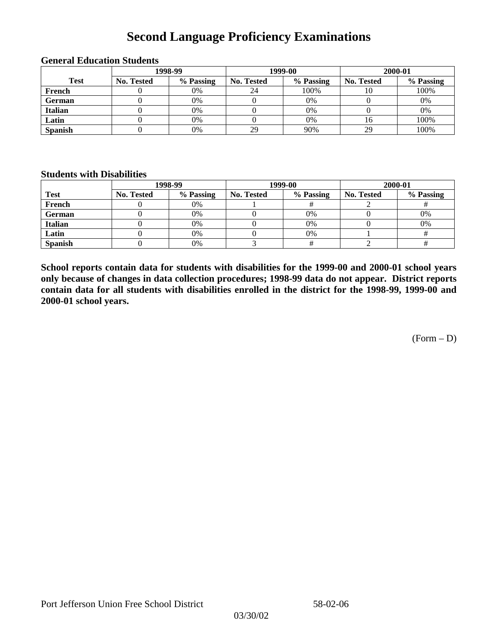## **Second Language Proficiency Examinations**

|                | 1998-99    |           |                   | 1999-00   | 2000-01           |           |  |
|----------------|------------|-----------|-------------------|-----------|-------------------|-----------|--|
| <b>Test</b>    | No. Tested | % Passing | <b>No. Tested</b> | % Passing | <b>No. Tested</b> | % Passing |  |
| French         |            | 0%        | 24                | 100%      | 10                | 100%      |  |
| <b>German</b>  |            | 0%        |                   | 0%        |                   | 0%        |  |
| <b>Italian</b> |            | 0%        |                   | 0%        |                   | 0%        |  |
| Latin          |            | 0%        |                   | 0%        | 16                | 100%      |  |
| <b>Spanish</b> |            | 0%        | 29                | 90%       | 29                | 100%      |  |

#### **General Education Students**

### **Students with Disabilities**

|                | 1998-99    |           |                   | 1999-00   | 2000-01           |           |  |
|----------------|------------|-----------|-------------------|-----------|-------------------|-----------|--|
| <b>Test</b>    | No. Tested | % Passing | <b>No. Tested</b> | % Passing | <b>No. Tested</b> | % Passing |  |
| French         |            | $0\%$     |                   |           |                   |           |  |
| German         |            | 0%        |                   | $0\%$     |                   | 0%        |  |
| Italian        |            | 0%        |                   | $0\%$     |                   | 0%        |  |
| Latin          |            | 0%        |                   | 0%        |                   |           |  |
| <b>Spanish</b> |            | 0%        |                   |           |                   |           |  |

**School reports contain data for students with disabilities for the 1999-00 and 2000-01 school years only because of changes in data collection procedures; 1998-99 data do not appear. District reports contain data for all students with disabilities enrolled in the district for the 1998-99, 1999-00 and 2000-01 school years.**

(Form – D)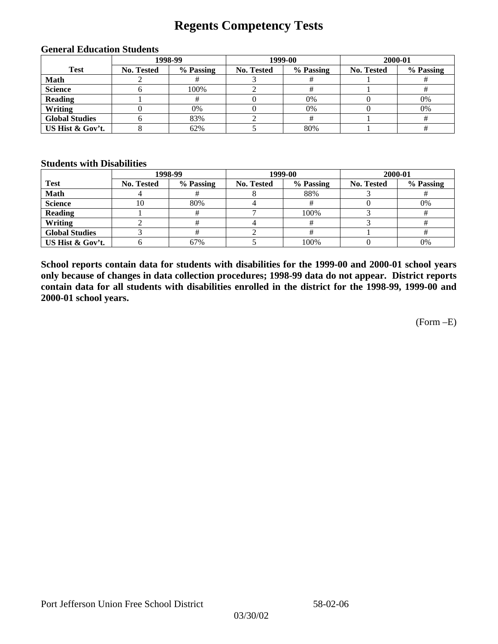## **Regents Competency Tests**

| 1998-99               |                   |           | 1999-00           | 2000-01   |                   |           |
|-----------------------|-------------------|-----------|-------------------|-----------|-------------------|-----------|
| <b>Test</b>           | <b>No. Tested</b> | % Passing | <b>No. Tested</b> | % Passing | <b>No. Tested</b> | % Passing |
| <b>Math</b>           |                   |           |                   |           |                   |           |
| <b>Science</b>        |                   | 100%      |                   |           |                   |           |
| <b>Reading</b>        |                   |           |                   | 0%        |                   | 0%        |
| Writing               |                   | 0%        |                   | 0%        |                   | 0%        |
| <b>Global Studies</b> |                   | 83%       |                   |           |                   |           |
| US Hist & Gov't.      |                   | 62%       |                   | 80%       |                   |           |

#### **General Education Students**

### **Students with Disabilities**

|                       |                   | 1998-99   | 1999-00    |           | 2000-01           |           |
|-----------------------|-------------------|-----------|------------|-----------|-------------------|-----------|
| <b>Test</b>           | <b>No. Tested</b> | % Passing | No. Tested | % Passing | <b>No. Tested</b> | % Passing |
| <b>Math</b>           |                   |           |            | 88%       |                   |           |
| <b>Science</b>        | l O               | 80%       |            |           |                   | 0%        |
| <b>Reading</b>        |                   |           |            | 100%      |                   |           |
| Writing               |                   |           |            |           |                   |           |
| <b>Global Studies</b> |                   |           |            |           |                   |           |
| US Hist & Gov't.      |                   | 67%       |            | 100%      |                   | 0%        |

**School reports contain data for students with disabilities for the 1999-00 and 2000-01 school years only because of changes in data collection procedures; 1998-99 data do not appear. District reports contain data for all students with disabilities enrolled in the district for the 1998-99, 1999-00 and 2000-01 school years.**

(Form –E)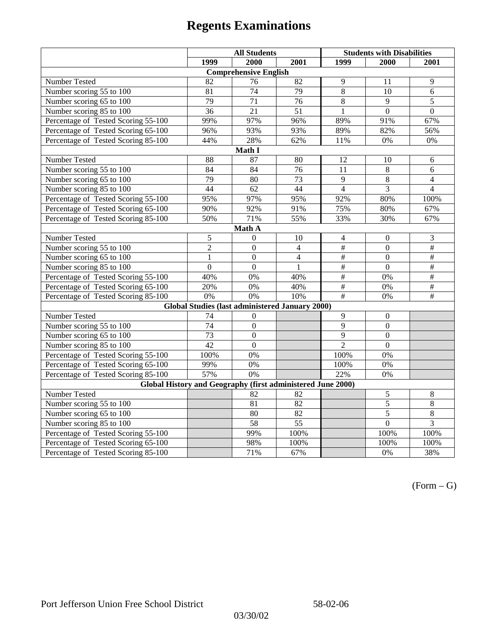|                                                             | <b>All Students</b> |                                                        |                 | <b>Students with Disabilities</b> |                  |                 |  |  |  |
|-------------------------------------------------------------|---------------------|--------------------------------------------------------|-----------------|-----------------------------------|------------------|-----------------|--|--|--|
|                                                             | 1999                | 2000                                                   | 2001            | 1999                              | 2000             | 2001            |  |  |  |
|                                                             |                     | <b>Comprehensive English</b>                           |                 |                                   |                  |                 |  |  |  |
| Number Tested                                               | 82                  | 76                                                     | 82              | 9                                 | 11               | 9               |  |  |  |
| Number scoring $55 \overline{\text{to } 100}$               | 81                  | $\overline{74}$                                        | 79              | $\overline{8}$                    | 10               | 6               |  |  |  |
| Number scoring 65 to 100                                    | 79                  | $\overline{71}$                                        | 76              | $\overline{8}$                    | $\overline{9}$   | 5               |  |  |  |
| Number scoring 85 to 100                                    | $\overline{36}$     | $\overline{21}$                                        | 51              | 1                                 | $\overline{0}$   | $\Omega$        |  |  |  |
| Percentage of Tested Scoring 55-100                         | 99%                 | 97%                                                    | 96%             | 89%                               | 91%              | 67%             |  |  |  |
| Percentage of Tested Scoring 65-100                         | 96%                 | 93%                                                    | 93%             | 89%                               | 82%              | 56%             |  |  |  |
| Percentage of Tested Scoring 85-100                         | 44%                 | 28%                                                    | 62%             | 11%                               | 0%               | $0\%$           |  |  |  |
|                                                             |                     | Math I                                                 |                 |                                   |                  |                 |  |  |  |
| Number Tested<br>88<br>87<br>12<br>80<br>10<br>6            |                     |                                                        |                 |                                   |                  |                 |  |  |  |
| Number scoring 55 to 100                                    | 84                  | 84                                                     | $\overline{76}$ | 11                                | $\overline{8}$   | 6               |  |  |  |
| Number scoring 65 to 100                                    | 79                  | 80                                                     | 73              | 9                                 | 8                | $\overline{4}$  |  |  |  |
| Number scoring 85 to 100                                    | 44                  | 62                                                     | 44              | $\overline{4}$                    | 3                | $\overline{4}$  |  |  |  |
| Percentage of Tested Scoring 55-100                         | 95%                 | 97%                                                    | 95%             | 92%                               | 80%              | 100%            |  |  |  |
| Percentage of Tested Scoring 65-100                         | 90%                 | 92%                                                    | 91%             | 75%                               | 80%              | 67%             |  |  |  |
| Percentage of Tested Scoring 85-100                         | 50%                 | 71%                                                    | 55%             | 33%                               | 30%              | 67%             |  |  |  |
| Math A                                                      |                     |                                                        |                 |                                   |                  |                 |  |  |  |
| Number Tested                                               | 5                   | $\theta$                                               | 10              | $\overline{4}$                    | $\boldsymbol{0}$ | 3               |  |  |  |
| Number scoring $5\overline{5}$ to $100$                     | $\overline{c}$      | $\mathbf{0}$                                           | $\overline{4}$  | #                                 | $\mathbf{0}$     | $\overline{\#}$ |  |  |  |
| Number scoring 65 to 100                                    | $\mathbf{1}$        | $\mathbf{0}$                                           | $\overline{4}$  | $\#$                              | $\mathbf{0}$     | $\#$            |  |  |  |
| Number scoring 85 to 100                                    | $\mathbf{0}$        | $\overline{0}$                                         | $\mathbf{1}$    | $\overline{\overline{t}}$         | $\mathbf{0}$     | $\overline{+}$  |  |  |  |
| Percentage of Tested Scoring 55-100                         | 40%                 | 0%                                                     | 40%             | $\#$                              | 0%               | #               |  |  |  |
| Percentage of Tested Scoring 65-100                         | 20%                 | 0%                                                     | 40%             | $\overline{\#}$                   | 0%               | $\overline{\#}$ |  |  |  |
| Percentage of Tested Scoring 85-100                         | 0%                  | 0%                                                     | 10%             | #                                 | 0%               | $\#$            |  |  |  |
|                                                             |                     | <b>Global Studies (last administered January 2000)</b> |                 |                                   |                  |                 |  |  |  |
| Number Tested                                               | 74                  | $\boldsymbol{0}$                                       |                 | 9                                 | $\boldsymbol{0}$ |                 |  |  |  |
| Number scoring 55 to 100                                    | $\overline{74}$     | $\overline{0}$                                         |                 | $\overline{9}$                    | $\overline{0}$   |                 |  |  |  |
| Number scoring 65 to 100                                    | 73                  | $\overline{0}$                                         |                 | $\overline{9}$                    | $\overline{0}$   |                 |  |  |  |
| Number scoring 85 to 100                                    | 42                  | $\overline{0}$                                         |                 | $\overline{c}$                    | $\overline{0}$   |                 |  |  |  |
| Percentage of Tested Scoring 55-100                         | 100%                | 0%                                                     |                 | 100%                              | 0%               |                 |  |  |  |
| Percentage of Tested Scoring 65-100                         | 99%                 | 0%                                                     |                 | 100%                              | $0\%$            |                 |  |  |  |
| Percentage of Tested Scoring 85-100                         | 57%                 | $\overline{0\%}$                                       |                 | 22%                               | 0%               |                 |  |  |  |
| Global History and Geography (first administered June 2000) |                     |                                                        |                 |                                   |                  |                 |  |  |  |
| Number Tested                                               |                     | 82                                                     | 82              |                                   | $\mathfrak s$    | $\,8\,$         |  |  |  |
| Number scoring 55 to 100                                    |                     | 81                                                     | 82              |                                   | 5                | $\overline{8}$  |  |  |  |
| Number scoring 65 to 100                                    |                     | 80                                                     | 82              |                                   | $\overline{5}$   | $\overline{8}$  |  |  |  |
| Number scoring 85 to 100                                    |                     | $\overline{58}$                                        | $\overline{55}$ |                                   | $\overline{0}$   | $\overline{3}$  |  |  |  |
| Percentage of Tested Scoring 55-100                         |                     | 99%                                                    | 100%            |                                   | 100%             | 100%            |  |  |  |
| Percentage of Tested Scoring 65-100                         |                     | 98%                                                    | 100%            |                                   | 100%             | 100%            |  |  |  |
| Percentage of Tested Scoring 85-100                         |                     | 71%                                                    | 67%             |                                   | $0\%$            | 38%             |  |  |  |

 $(Form - G)$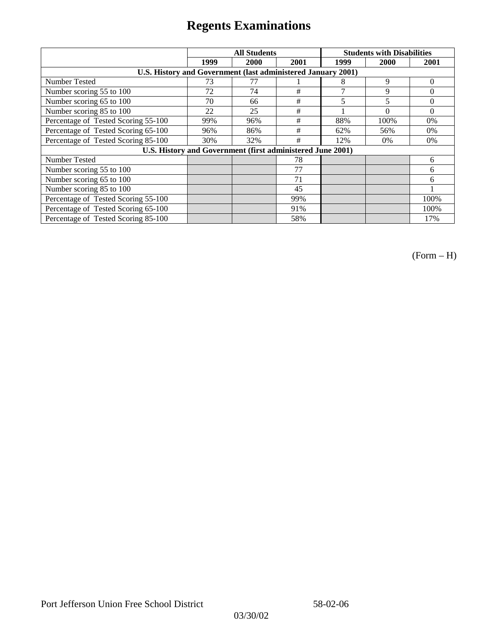|                                                              |      | <b>All Students</b>                                        |      | <b>Students with Disabilities</b> |          |          |
|--------------------------------------------------------------|------|------------------------------------------------------------|------|-----------------------------------|----------|----------|
|                                                              | 1999 | 2000                                                       | 2001 | 1999                              | 2000     | 2001     |
| U.S. History and Government (last administered January 2001) |      |                                                            |      |                                   |          |          |
| Number Tested                                                | 73   | 77                                                         |      | 8                                 | 9        | $\theta$ |
| Number scoring 55 to 100                                     | 72   | 74                                                         | #    | 7                                 | 9        | $\theta$ |
| Number scoring 65 to 100                                     | 70   | 66                                                         | #    | 5                                 | 5        | $\theta$ |
| Number scoring 85 to 100                                     | 22   | 25                                                         | #    |                                   | $\theta$ | $\Omega$ |
| Percentage of Tested Scoring 55-100                          | 99%  | 96%                                                        | #    | 88%                               | 100%     | $0\%$    |
| Percentage of Tested Scoring 65-100                          | 96%  | 86%                                                        | #    | 62%                               | 56%      | $0\%$    |
| Percentage of Tested Scoring 85-100                          | 30%  | 32%                                                        | #    | 12%                               | $0\%$    | $0\%$    |
|                                                              |      | U.S. History and Government (first administered June 2001) |      |                                   |          |          |
| Number Tested                                                |      |                                                            | 78   |                                   |          | 6        |
| Number scoring 55 to 100                                     |      |                                                            | 77   |                                   |          | 6        |
| Number scoring 65 to 100                                     |      |                                                            | 71   |                                   |          | 6        |
| Number scoring 85 to 100                                     |      |                                                            | 45   |                                   |          |          |
| Percentage of Tested Scoring 55-100                          |      |                                                            | 99%  |                                   |          | 100%     |
| Percentage of Tested Scoring 65-100                          |      |                                                            | 91%  |                                   |          | 100%     |
| Percentage of Tested Scoring 85-100                          |      |                                                            | 58%  |                                   |          | 17%      |

(Form – H)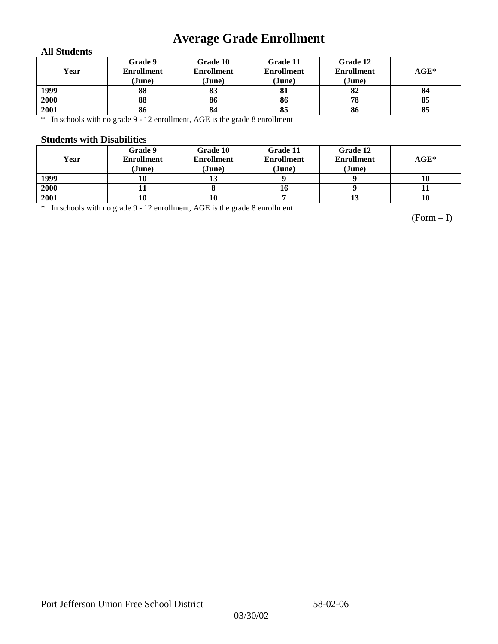# **Average Grade Enrollment**

### **All Students**

| Year | Grade 9<br><b>Enrollment</b><br>(June) | Grade 10<br><b>Enrollment</b><br>(June) | Grade 11<br><b>Enrollment</b><br>(June) | Grade 12<br><b>Enrollment</b><br>(June) | $AGE^*$ |
|------|----------------------------------------|-----------------------------------------|-----------------------------------------|-----------------------------------------|---------|
| 1999 | 88                                     | 83                                      | 81                                      | 82                                      | 84      |
| 2000 | 88                                     | 86                                      | 86                                      | 78                                      | 85      |
| 2001 | 86                                     | 84                                      | 85                                      | 86                                      | 85      |

\* In schools with no grade 9 - 12 enrollment, AGE is the grade 8 enrollment

### **Students with Disabilities**

| Year | Grade 9<br><b>Enrollment</b><br>(June) | Grade 10<br><b>Enrollment</b><br>(June) | Grade 11<br><b>Enrollment</b><br>(June) | Grade 12<br><b>Enrollment</b><br>(June) | $AGE^*$ |
|------|----------------------------------------|-----------------------------------------|-----------------------------------------|-----------------------------------------|---------|
| 1999 | 10                                     |                                         |                                         |                                         | 10      |
| 2000 |                                        |                                         | 16                                      |                                         |         |
| 2001 | 10                                     | 10                                      |                                         | 13                                      | 10      |

\* In schools with no grade 9 - 12 enrollment, AGE is the grade 8 enrollment

(Form – I)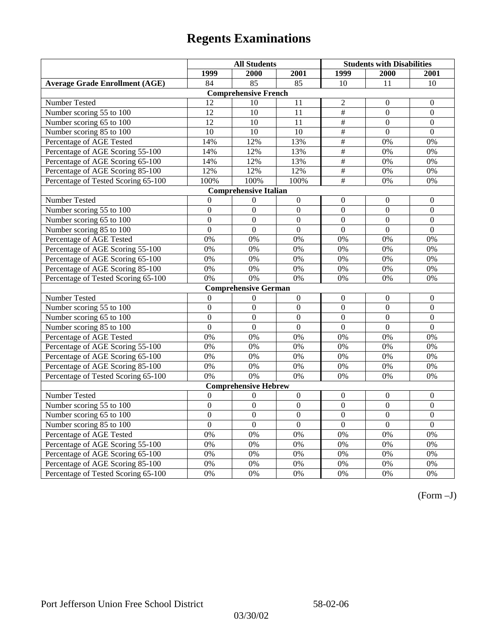|                                       | <b>All Students</b> |                              |                  | <b>Students with Disabilities</b> |                  |                  |
|---------------------------------------|---------------------|------------------------------|------------------|-----------------------------------|------------------|------------------|
|                                       | 1999                | 2000                         | 2001             | 1999                              | 2000             | 2001             |
| <b>Average Grade Enrollment (AGE)</b> | 84                  | $\overline{85}$              | $\overline{85}$  | 10                                | 11               | 10               |
|                                       |                     | <b>Comprehensive French</b>  |                  |                                   |                  |                  |
| <b>Number Tested</b>                  | 12                  | 10                           | 11               | $\overline{2}$                    | $\theta$         | $\mathbf{0}$     |
| Number scoring 55 to 100              | $\overline{12}$     | 10                           | 11               | $\overline{\overline{H}}$         | $\Omega$         | $\mathbf{0}$     |
| Number scoring 65 to 100              | 12                  | 10                           | 11               | $\#$                              | $\mathbf{0}$     | $\mathbf{0}$     |
| Number scoring 85 to 100              | 10                  | 10                           | 10               | $\frac{1}{2}$                     | $\mathbf{0}$     | $\mathbf{0}$     |
| Percentage of AGE Tested              | 14%                 | 12%                          | 13%              | $\overline{\#}$                   | 0%               | 0%               |
| Percentage of AGE Scoring 55-100      | 14%                 | 12%                          | 13%              | $\#$                              | 0%               | 0%               |
| Percentage of AGE Scoring 65-100      | 14%                 | 12%                          | 13%              | $\overline{\overline{H}}$         | 0%               | 0%               |
| Percentage of AGE Scoring 85-100      | 12%                 | 12%                          | 12%              | $\overline{\overline{H}}$         | 0%               | 0%               |
| Percentage of Tested Scoring 65-100   | 100%                | 100%                         | 100%             | #                                 | 0%               | 0%               |
|                                       |                     | <b>Comprehensive Italian</b> |                  |                                   |                  |                  |
| Number Tested                         | $\theta$            | $\theta$                     | $\mathbf{0}$     | $\overline{0}$                    | $\mathbf{0}$     | $\theta$         |
| Number scoring 55 to 100              | $\boldsymbol{0}$    | $\overline{0}$               | $\Omega$         | $\overline{0}$                    | $\overline{0}$   | $\boldsymbol{0}$ |
| Number scoring 65 to 100              | $\mathbf{0}$        | $\mathbf{0}$                 | $\mathbf{0}$     | $\overline{0}$                    | $\overline{0}$   | $\mathbf{0}$     |
| Number scoring 85 to 100              | $\overline{0}$      | $\overline{0}$               | $\overline{0}$   | $\overline{0}$                    | $\overline{0}$   | $\overline{0}$   |
| Percentage of AGE Tested              | 0%                  | 0%                           | 0%               | 0%                                | 0%               | 0%               |
| Percentage of AGE Scoring 55-100      | 0%                  | 0%                           | 0%               | 0%                                | 0%               | 0%               |
| Percentage of AGE Scoring 65-100      | 0%                  | 0%                           | 0%               | 0%                                | 0%               | 0%               |
| Percentage of AGE Scoring 85-100      | 0%                  | 0%                           | 0%               | 0%                                | 0%               | 0%               |
| Percentage of Tested Scoring 65-100   | 0%                  | 0%                           | 0%               | 0%                                | 0%               | 0%               |
|                                       |                     | <b>Comprehensive German</b>  |                  |                                   |                  |                  |
| Number Tested                         | $\mathbf{0}$        | $\theta$                     | $\mathbf{0}$     | $\overline{0}$                    | $\mathbf{0}$     | $\mathbf{0}$     |
| Number scoring 55 to 100              | $\mathbf{0}$        | $\mathbf{0}$                 | $\overline{0}$   | $\overline{0}$                    | $\overline{0}$   | $\boldsymbol{0}$ |
| Number scoring 65 to 100              | $\overline{0}$      | $\mathbf{0}$                 | $\overline{0}$   | $\overline{0}$                    | $\mathbf{0}$     | $\boldsymbol{0}$ |
| Number scoring 85 to 100              | $\overline{0}$      | $\overline{0}$               | $\overline{0}$   | $\overline{0}$                    | $\overline{0}$   | $\overline{0}$   |
| Percentage of AGE Tested              | 0%                  | 0%                           | 0%               | 0%                                | 0%               | 0%               |
| Percentage of AGE Scoring 55-100      | 0%                  | 0%                           | 0%               | 0%                                | 0%               | 0%               |
| Percentage of AGE Scoring 65-100      | 0%                  | 0%                           | 0%               | 0%                                | 0%               | 0%               |
| Percentage of AGE Scoring 85-100      | 0%                  | 0%                           | 0%               | 0%                                | 0%               | 0%               |
| Percentage of Tested Scoring 65-100   | 0%                  | 0%                           | 0%               | 0%                                | 0%               | 0%               |
|                                       |                     | <b>Comprehensive Hebrew</b>  |                  |                                   |                  |                  |
| Number Tested                         | $\boldsymbol{0}$    | $\Omega$                     | $\boldsymbol{0}$ | $\boldsymbol{0}$                  | $\boldsymbol{0}$ | $\boldsymbol{0}$ |
| Number scoring 55 to 100              | $\boldsymbol{0}$    | $\mathbf{0}$                 | $\overline{0}$   | $\overline{0}$                    | $\mathbf{0}$     | $\mathbf{0}$     |
| Number scoring 65 to 100              | $\boldsymbol{0}$    | $\mathbf{0}$                 | $\overline{0}$   | $\overline{0}$                    | $\mathbf{0}$     | $\mathbf{0}$     |
| Number scoring 85 to 100              | $\overline{0}$      | $\overline{0}$               | $\overline{0}$   | $\overline{0}$                    | $\Omega$         | $\mathbf{0}$     |
| Percentage of AGE Tested              | 0%                  | 0%                           | 0%               | 0%                                | 0%               | 0%               |
| Percentage of AGE Scoring 55-100      | 0%                  | 0%                           | 0%               | 0%                                | 0%               | 0%               |
| Percentage of AGE Scoring 65-100      | 0%                  | 0%                           | 0%               | 0%                                | 0%               | 0%               |
| Percentage of AGE Scoring 85-100      | 0%                  | 0%                           | 0%               | $0\%$                             | 0%               | 0%               |
| Percentage of Tested Scoring 65-100   | 0%                  | 0%                           | 0%               | 0%                                | 0%               | 0%               |

(Form –J)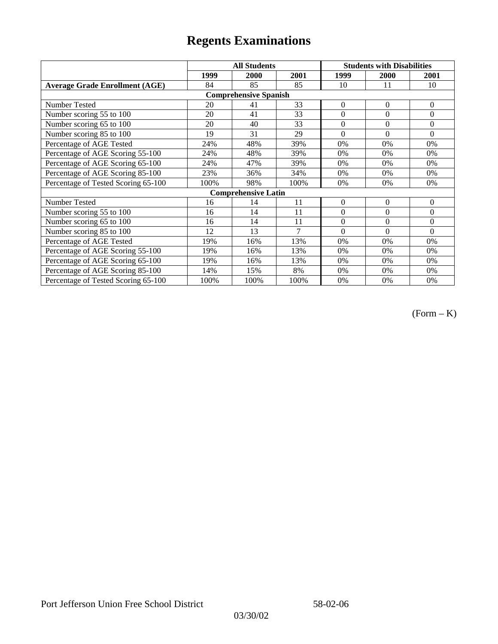|                                       |      | <b>All Students</b>          |      | <b>Students with Disabilities</b> |              |                |
|---------------------------------------|------|------------------------------|------|-----------------------------------|--------------|----------------|
|                                       | 1999 | 2000                         | 2001 | 1999                              | <b>2000</b>  | 2001           |
| <b>Average Grade Enrollment (AGE)</b> | 84   | 85                           | 85   | 10                                | 11           | 10             |
|                                       |      | <b>Comprehensive Spanish</b> |      |                                   |              |                |
| <b>Number Tested</b>                  | 20   | 41                           | 33   | $\overline{0}$                    | $\mathbf{0}$ | $\mathbf{0}$   |
| Number scoring 55 to 100              | 20   | 41                           | 33   | $\theta$                          | $\theta$     | $\Omega$       |
| Number scoring 65 to 100              | 20   | 40                           | 33   | $\boldsymbol{0}$                  | $\mathbf{0}$ | $\mathbf{0}$   |
| Number scoring 85 to 100              | 19   | 31                           | 29   | $\theta$                          | $\theta$     | $\Omega$       |
| Percentage of AGE Tested              | 24%  | 48%                          | 39%  | 0%                                | 0%           | $0\%$          |
| Percentage of AGE Scoring 55-100      | 24%  | 48%                          | 39%  | 0%                                | 0%           | 0%             |
| Percentage of AGE Scoring 65-100      | 24%  | 47%                          | 39%  | 0%                                | 0%           | 0%             |
| Percentage of AGE Scoring 85-100      | 23%  | 36%                          | 34%  | 0%                                | 0%           | 0%             |
| Percentage of Tested Scoring 65-100   | 100% | 98%                          | 100% | 0%                                | $0\%$        | 0%             |
|                                       |      | <b>Comprehensive Latin</b>   |      |                                   |              |                |
| Number Tested                         | 16   | 14                           | 11   | $\theta$                          | $\theta$     | $\overline{0}$ |
| Number scoring 55 to 100              | 16   | 14                           | 11   | $\boldsymbol{0}$                  | $\Omega$     | $\mathbf{0}$   |
| Number scoring 65 to 100              | 16   | 14                           | 11   | $\theta$                          | $\theta$     | $\Omega$       |
| Number scoring 85 to 100              | 12   | 13                           | 7    | $\Omega$                          | $\Omega$     | $\Omega$       |
| Percentage of AGE Tested              | 19%  | 16%                          | 13%  | 0%                                | 0%           | 0%             |
| Percentage of AGE Scoring 55-100      | 19%  | 16%                          | 13%  | 0%                                | 0%           | 0%             |
| Percentage of AGE Scoring 65-100      | 19%  | 16%                          | 13%  | 0%                                | 0%           | 0%             |
| Percentage of AGE Scoring 85-100      | 14%  | 15%                          | 8%   | 0%                                | $0\%$        | $0\%$          |
| Percentage of Tested Scoring 65-100   | 100% | 100%                         | 100% | $0\%$                             | $0\%$        | $0\%$          |

(Form – K)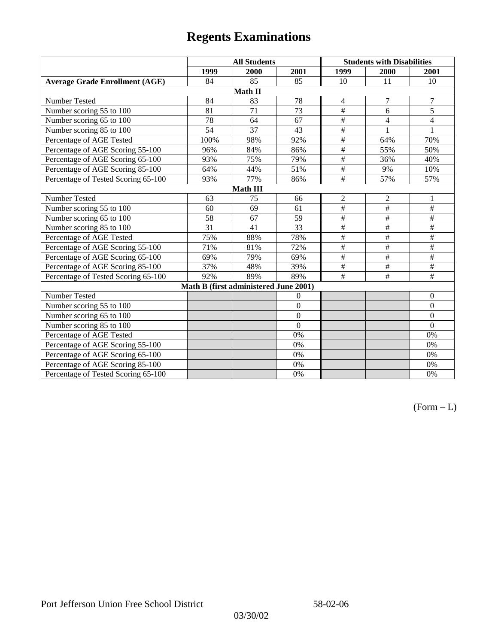|                                       | <b>All Students</b> |                                       |                 | <b>Students with Disabilities</b> |                          |                  |  |  |
|---------------------------------------|---------------------|---------------------------------------|-----------------|-----------------------------------|--------------------------|------------------|--|--|
|                                       | 1999                | 2000                                  | 2001            | 1999                              | 2000                     | 2001             |  |  |
| <b>Average Grade Enrollment (AGE)</b> | 84                  | 85                                    | 85              | 10                                | 11                       | 10               |  |  |
|                                       |                     | Math II                               |                 |                                   |                          |                  |  |  |
| Number Tested                         | 84                  | 83                                    | 78              | $\overline{4}$                    | 7                        | 7                |  |  |
| Number scoring 55 to 100              | 81                  | 71                                    | $\overline{73}$ | $\#$                              | 6                        | $\overline{5}$   |  |  |
| Number scoring 65 to 100              | 78                  | 64                                    | 67              | $\overline{\#}$                   | $\overline{4}$           | $\overline{4}$   |  |  |
| Number scoring 85 to 100              | $\overline{54}$     | 37                                    | 43              | $\overline{\#}$                   |                          | 1                |  |  |
| Percentage of AGE Tested              | 100%                | 98%                                   | 92%             | $\#$                              | 64%                      | 70%              |  |  |
| Percentage of AGE Scoring 55-100      | 96%                 | 84%                                   | 86%             | $\#$                              | 55%                      | 50%              |  |  |
| Percentage of AGE Scoring 65-100      | 93%                 | 75%                                   | 79%             | $\overline{\#}$                   | 36%                      | 40%              |  |  |
| Percentage of AGE Scoring 85-100      | 64%                 | 44%                                   | 51%             | $\overline{\#}$                   | 9%                       | 10%              |  |  |
| Percentage of Tested Scoring 65-100   | 93%                 | 77%                                   | 86%             | $\#$                              | 57%                      | 57%              |  |  |
| Math III                              |                     |                                       |                 |                                   |                          |                  |  |  |
| Number Tested                         | 63                  | 75                                    | 66              | $\overline{2}$                    | $\sqrt{2}$               | $\mathbf{1}$     |  |  |
| Number scoring 55 to 100              | 60                  | 69                                    | 61              | $\overline{\#}$                   | $\overline{+}$           | $\#$             |  |  |
| Number scoring 65 to 100              | 58                  | 67                                    | 59              | $\#$                              | $\#$                     | $\#$             |  |  |
| Number scoring 85 to 100              | 31                  | 41                                    | 33              | $\#$                              | $\#$                     | $\#$             |  |  |
| Percentage of AGE Tested              | 75%                 | 88%                                   | 78%             | $\#$                              | $\#$                     | $\#$             |  |  |
| Percentage of AGE Scoring 55-100      | 71%                 | 81%                                   | 72%             | $\overline{\#}$                   | $\overline{\overline{}}$ | $\#$             |  |  |
| Percentage of AGE Scoring 65-100      | 69%                 | 79%                                   | 69%             | $\#$                              | $\#$                     | $\#$             |  |  |
| Percentage of AGE Scoring 85-100      | 37%                 | 48%                                   | 39%             | $\#$                              | $\#$                     | $\#$             |  |  |
| Percentage of Tested Scoring 65-100   | 92%                 | 89%                                   | 89%             | #                                 | #                        | $\#$             |  |  |
|                                       |                     | Math B (first administered June 2001) |                 |                                   |                          |                  |  |  |
| Number Tested                         |                     |                                       | $\overline{0}$  |                                   |                          | $\boldsymbol{0}$ |  |  |
| Number scoring 55 to 100              |                     |                                       | $\overline{0}$  |                                   |                          | $\mathbf{0}$     |  |  |
| Number scoring 65 to 100              |                     |                                       | $\overline{0}$  |                                   |                          | $\boldsymbol{0}$ |  |  |
| Number scoring 85 to 100              |                     |                                       | $\overline{0}$  |                                   |                          | $\mathbf{0}$     |  |  |
| Percentage of AGE Tested              |                     |                                       | 0%              |                                   |                          | 0%               |  |  |
| Percentage of AGE Scoring 55-100      |                     |                                       | 0%              |                                   |                          | 0%               |  |  |
| Percentage of AGE Scoring 65-100      |                     |                                       | 0%              |                                   |                          | $0\%$            |  |  |
| Percentage of AGE Scoring 85-100      |                     |                                       | 0%              |                                   |                          | 0%               |  |  |
| Percentage of Tested Scoring 65-100   |                     |                                       | 0%              |                                   |                          | 0%               |  |  |

 $(Form - L)$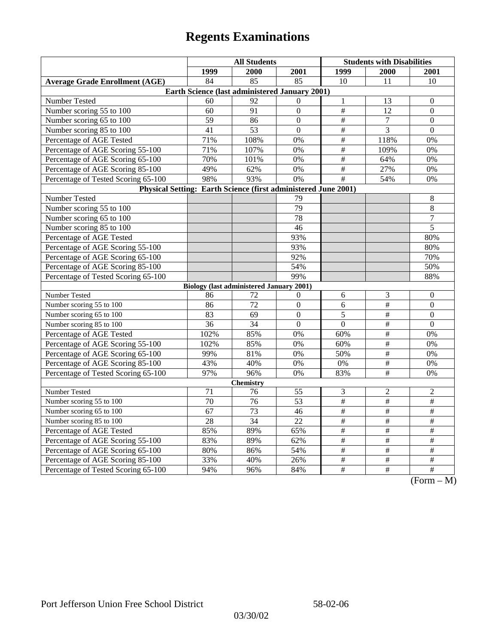|                                                                | <b>All Students</b> |                                                 |                  | <b>Students with Disabilities</b> |                         |                                                                           |  |  |
|----------------------------------------------------------------|---------------------|-------------------------------------------------|------------------|-----------------------------------|-------------------------|---------------------------------------------------------------------------|--|--|
|                                                                | 1999                | 2000                                            | 2001             | 1999                              | 2000                    | 2001                                                                      |  |  |
| <b>Average Grade Enrollment (AGE)</b>                          | 84                  | 85                                              | 85               | 10                                | 11                      | 10                                                                        |  |  |
| Earth Science (last administered January 2001)                 |                     |                                                 |                  |                                   |                         |                                                                           |  |  |
| Number Tested                                                  | 60                  | 92                                              | $\mathbf{0}$     | $\mathbf{1}$                      | 13                      | $\theta$                                                                  |  |  |
| Number scoring 55 to 100                                       | 60                  | 91                                              | $\mathbf{0}$     | $\#$                              | 12                      | $\mathbf{0}$                                                              |  |  |
| Number scoring 65 to 100                                       | 59                  | 86                                              | $\Omega$         | $\overline{\#}$                   | $\tau$                  | $\boldsymbol{0}$                                                          |  |  |
| Number scoring 85 to 100                                       | 41                  | 53                                              | $\overline{0}$   | $\overline{\#}$                   | 3                       | $\mathbf{0}$                                                              |  |  |
| Percentage of AGE Tested                                       | 71%                 | 108%                                            | 0%               | $\#$                              | 118%                    | 0%                                                                        |  |  |
| Percentage of AGE Scoring 55-100                               | 71%                 | 107%                                            | 0%               | $\#$                              | 109%                    | 0%                                                                        |  |  |
| Percentage of AGE Scoring 65-100                               | 70%                 | 101%                                            | 0%               | $\overline{\#}$                   | 64%                     | 0%                                                                        |  |  |
| Percentage of AGE Scoring 85-100                               | 49%                 | 62%                                             | $0\%$            | $\overline{\#}$                   | 27%                     | 0%                                                                        |  |  |
| Percentage of Tested Scoring 65-100                            | 98%                 | 93%                                             | 0%               | $\#$                              | 54%                     | 0%                                                                        |  |  |
| Physical Setting: Earth Science (first administered June 2001) |                     |                                                 |                  |                                   |                         |                                                                           |  |  |
| Number Tested                                                  |                     |                                                 | 79               |                                   |                         | $\,8\,$                                                                   |  |  |
| Number scoring 55 to 100                                       |                     |                                                 | 79               |                                   |                         | $\overline{8}$                                                            |  |  |
| Number scoring 65 to 100                                       |                     |                                                 | 78               |                                   |                         | $\boldsymbol{7}$                                                          |  |  |
| Number scoring 85 to 100                                       |                     |                                                 | 46               |                                   |                         | 5                                                                         |  |  |
| Percentage of AGE Tested                                       |                     |                                                 | 93%              |                                   |                         | 80%                                                                       |  |  |
| Percentage of AGE Scoring 55-100                               |                     |                                                 | 93%              |                                   |                         | 80%                                                                       |  |  |
| Percentage of AGE Scoring 65-100                               |                     |                                                 | 92%              |                                   |                         | 70%                                                                       |  |  |
| Percentage of AGE Scoring 85-100                               |                     |                                                 | 54%              |                                   |                         | 50%                                                                       |  |  |
| Percentage of Tested Scoring 65-100                            |                     |                                                 | 99%              |                                   |                         | 88%                                                                       |  |  |
|                                                                |                     | <b>Biology (last administered January 2001)</b> |                  |                                   |                         |                                                                           |  |  |
| Number Tested                                                  | 86                  | 72                                              | $\boldsymbol{0}$ | $\sqrt{6}$                        | $\mathfrak{Z}$          | $\boldsymbol{0}$                                                          |  |  |
| Number scoring 55 to 100                                       | 86                  | 72                                              | $\overline{0}$   | 6                                 | #                       | $\mathbf{0}$                                                              |  |  |
| Number scoring 65 to 100                                       | 83                  | 69                                              | $\Omega$         | 5                                 | $\#$                    | $\theta$                                                                  |  |  |
| Number scoring 85 to 100                                       | 36                  | 34                                              | $\Omega$         | $\Omega$                          | $\overline{\ddot{\pi}}$ | $\Omega$                                                                  |  |  |
| Percentage of AGE Tested                                       | 102%                | 85%                                             | 0%               | 60%                               | $\overline{\#}$         | 0%                                                                        |  |  |
| Percentage of AGE Scoring 55-100                               | 102%                | 85%                                             | 0%               | 60%                               | $\#$                    | 0%                                                                        |  |  |
| Percentage of AGE Scoring 65-100                               | 99%                 | 81%                                             | 0%               | 50%                               | $\#$                    | 0%                                                                        |  |  |
| Percentage of AGE Scoring 85-100                               | 43%                 | 40%                                             | 0%               | 0%                                | $\overline{\#}$         | 0%                                                                        |  |  |
| Percentage of Tested Scoring 65-100                            | 97%                 | 96%                                             | 0%               | 83%                               | $\overline{\#}$         | 0%                                                                        |  |  |
| <b>Chemistry</b>                                               |                     |                                                 |                  |                                   |                         |                                                                           |  |  |
| Number Tested                                                  | 71                  | 76                                              | 55               | 3                                 | $\mathfrak{2}$          | $\overline{c}$                                                            |  |  |
| Number scoring 55 to 100                                       | $\overline{70}$     | $\overline{76}$                                 | 53               | $\overline{\#}$                   | $\overline{\#}$         | $\overline{\#}$                                                           |  |  |
| Number scoring 65 to 100                                       | $\overline{67}$     | $\overline{73}$                                 | 46               | $\frac{1}{2}$                     | $\frac{1}{2}$           | $\frac{1}{2}$                                                             |  |  |
| Number scoring 85 to 100                                       | 28                  | 34                                              | 22               | $\#$                              | $\#$                    | $\#$                                                                      |  |  |
| Percentage of AGE Tested                                       | 85%                 | 89%                                             | 65%              | $\#$                              | $\#$                    | $\#$                                                                      |  |  |
| Percentage of AGE Scoring 55-100                               | 83%                 | 89%                                             | 62%              | $\#$                              | #                       | #                                                                         |  |  |
| Percentage of AGE Scoring 65-100                               | 80%                 | 86%                                             | 54%              | $\overline{\#}$                   | $\overline{\#}$         | $\overline{\#}$                                                           |  |  |
| Percentage of AGE Scoring 85-100                               | 33%                 | 40%                                             | 26%              | $\frac{1}{2}$                     | $\frac{1}{2}$           | $\overline{\#}$                                                           |  |  |
| Percentage of Tested Scoring 65-100                            | 94%                 | 96%                                             | 84%              | $\#$                              | $\overline{+}$          | $\overline{+}$<br>$\Gamma$ <sub><math>\alpha</math></sub><br>$\mathbf{M}$ |  |  |

(Form – M)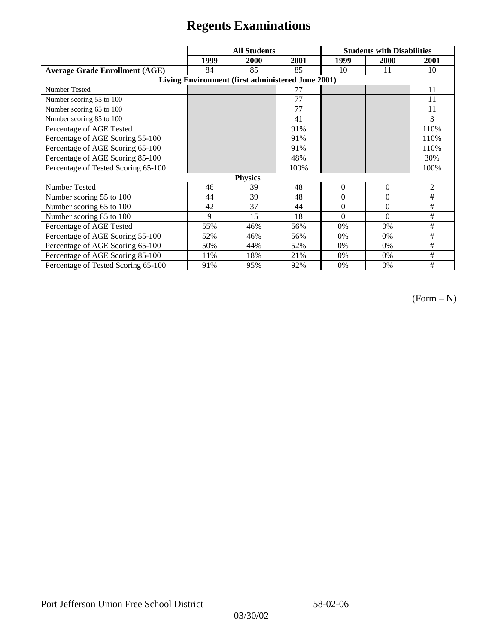|                                                   | <b>All Students</b> |      |      | <b>Students with Disabilities</b> |              |                |  |  |
|---------------------------------------------------|---------------------|------|------|-----------------------------------|--------------|----------------|--|--|
|                                                   | 1999                | 2000 | 2001 | 1999                              | 2000         | 2001           |  |  |
| <b>Average Grade Enrollment (AGE)</b>             | 84                  | 85   | 85   | 10                                | 11           | 10             |  |  |
| Living Environment (first administered June 2001) |                     |      |      |                                   |              |                |  |  |
| <b>Number Tested</b>                              |                     |      | 77   |                                   |              | 11             |  |  |
| Number scoring 55 to 100                          |                     |      | 77   |                                   |              | 11             |  |  |
| Number scoring 65 to 100                          |                     |      | 77   |                                   |              | 11             |  |  |
| Number scoring 85 to 100                          |                     |      | 41   |                                   |              | 3              |  |  |
| Percentage of AGE Tested                          |                     |      | 91%  |                                   |              | 110%           |  |  |
| Percentage of AGE Scoring 55-100                  |                     |      | 91%  |                                   |              | 110%           |  |  |
| Percentage of AGE Scoring 65-100                  |                     |      | 91%  |                                   |              | 110%           |  |  |
| Percentage of AGE Scoring 85-100                  |                     |      | 48%  |                                   |              | 30%            |  |  |
| Percentage of Tested Scoring 65-100               |                     |      | 100% |                                   |              | 100%           |  |  |
| <b>Physics</b>                                    |                     |      |      |                                   |              |                |  |  |
| Number Tested                                     | 46                  | 39   | 48   | $\mathbf{0}$                      | $\mathbf{0}$ | $\mathfrak{2}$ |  |  |
| Number scoring 55 to 100                          | 44                  | 39   | 48   | $\Omega$                          | $\theta$     | #              |  |  |
| Number scoring 65 to 100                          | 42                  | 37   | 44   | $\mathbf{0}$                      | $\theta$     | #              |  |  |
| Number scoring 85 to 100                          | 9                   | 15   | 18   | $\Omega$                          | $\Omega$     | #              |  |  |
| Percentage of AGE Tested                          | 55%                 | 46%  | 56%  | 0%                                | 0%           | #              |  |  |
| Percentage of AGE Scoring 55-100                  | 52%                 | 46%  | 56%  | $0\%$                             | 0%           | #              |  |  |
| Percentage of AGE Scoring 65-100                  | 50%                 | 44%  | 52%  | 0%                                | 0%           | #              |  |  |
| Percentage of AGE Scoring 85-100                  | 11%                 | 18%  | 21%  | 0%                                | $0\%$        | #              |  |  |
| Percentage of Tested Scoring 65-100               | 91%                 | 95%  | 92%  | 0%                                | 0%           | #              |  |  |

(Form – N)